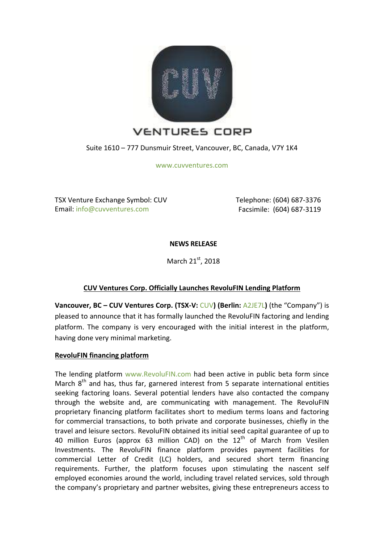

Suite 1610 – 777 Dunsmuir Street, Vancouver, BC, Canada, V7Y 1K4

[www.cuvventures.com](http://www.cuvventures.com/)

TSX Venture Exchange Symbol: CUV Email: [info@cuvventures.com](mailto:info@cuvventures.com)

 Telephone: (604) 687-3376 Facsimile: (604) 687-3119

**NEWS RELEASE**

March 21st, 2018

# **CUV Ventures Corp. Officially Launches RevoluFIN Lending Platform**

**Vancouver, BC – CUV Ventures Corp. (TSX-V:** [CUV](http://web.tmxmoney.com/quote.php?qm_symbol=CUV)**) (Berlin:** [A2JE7L](https://www.boerse.de/aktien/CUV-VENTURES-Aktie/CA23223N1024)**)** (the "Company") is pleased to announce that it has formally launched the RevoluFIN factoring and lending platform. The company is very encouraged with the initial interest in the platform, having done very minimal marketing.

#### **RevoluFIN financing platform**

The lending platform [www.RevoluFIN.com](http://www.revolufin.com/) had been active in public beta form since March  $8<sup>th</sup>$  and has, thus far, garnered interest from 5 separate international entities seeking factoring loans. Several potential lenders have also contacted the company through the website and, are communicating with management. The RevoluFIN proprietary financing platform facilitates short to medium terms loans and factoring for commercial transactions, to both private and corporate businesses, chiefly in the travel and leisure sectors. RevoluFIN obtained its initial seed capital guarantee of up to 40 million Euros (approx 63 million CAD) on the  $12<sup>th</sup>$  of March from Vesilen Investments. The RevoluFIN finance platform provides payment facilities for commercial Letter of Credit (LC) holders, and secured short term financing requirements. Further, the platform focuses upon stimulating the nascent self employed economies around the world, including travel related services, sold through the company's proprietary and partner websites, giving these entrepreneurs access to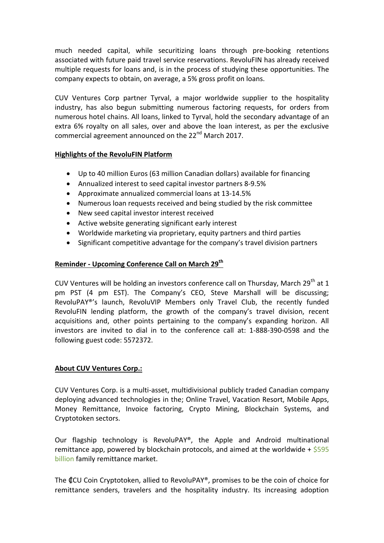much needed capital, while securitizing loans through pre-booking retentions associated with future paid travel service reservations. RevoluFIN has already received multiple requests for loans and, is in the process of studying these opportunities. The company expects to obtain, on average, a 5% gross profit on loans.

CUV Ventures Corp partner Tyrval, a major worldwide supplier to the hospitality industry, has also begun submitting numerous factoring requests, for orders from numerous hotel chains. All loans, linked to Tyrval, hold the secondary advantage of an extra 6% royalty on all sales, over and above the loan interest, as per the exclusive commercial agreement announced on the 22<sup>nd</sup> March 2017.

#### **Highlights of the RevoluFIN Platform**

- Up to 40 million Euros (63 million Canadian dollars) available for financing
- Annualized interest to seed capital investor partners 8-9.5%
- Approximate annualized commercial loans at 13-14.5%
- Numerous loan requests received and being studied by the risk committee
- New seed capital investor interest received
- Active website generating significant early interest
- Worldwide marketing via proprietary, equity partners and third parties
- Significant competitive advantage for the company's travel division partners

## **Reminder - Upcoming Conference Call on March 29th**

CUV Ventures will be holding an investors conference call on Thursday, March 29<sup>th</sup> at 1 pm PST (4 pm EST). The Company's CEO, Steve Marshall will be discussing; RevoluPAY®'s launch, RevoluVIP Members only Travel Club, the recently funded RevoluFIN lending platform, the growth of the company's travel division, recent acquisitions and, other points pertaining to the company's expanding horizon. All investors are invited to dial in to the conference call at: 1-888-390-0598 and the following guest code: 5572372.

#### **About CUV Ventures Corp.:**

CUV Ventures Corp. is a multi-asset, multidivisional publicly traded Canadian company deploying advanced technologies in the; Online Travel, Vacation Resort, Mobile Apps, Money Remittance, Invoice factoring, Crypto Mining, Blockchain Systems, and Cryptotoken sectors.

Our flagship technology is RevoluPAY®, the Apple and Android multinational remittance app, powered by blockchain protocols, and aimed at the worldwide +  $$595$ [billion](http://www.worldbank.org/en/topic/migrationremittancesdiasporaissues/brief/migration-remittances-data) family remittance market.

The ₡CU Coin Cryptotoken, allied to RevoluPAY®, promises to be the coin of choice for remittance senders, travelers and the hospitality industry. Its increasing adoption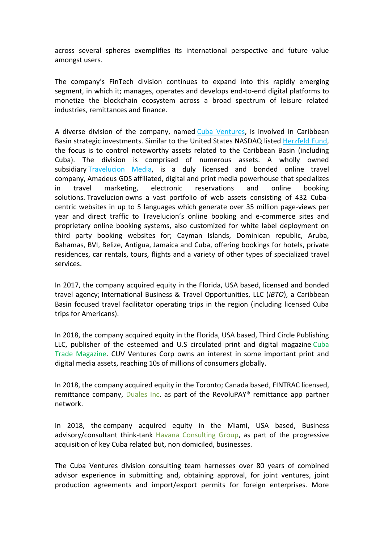across several spheres exemplifies its international perspective and future value amongst users.

The company's FinTech division continues to expand into this rapidly emerging segment, in which it; manages, operates and develops end-to-end digital platforms to monetize the blockchain ecosystem across a broad spectrum of leisure related industries, remittances and finance.

A diverse division of the company, named [Cuba Ventures,](http://www.cubaventures.com/) is involved in Caribbean Basin strategic investments. Similar to the United States NASDAQ listed [Herzfeld Fund,](https://www.herzfeld.com/cuba) the focus is to control noteworthy assets related to the Caribbean Basin (including Cuba). The division is comprised of numerous assets. A wholly owned subsidiary [Travelucion Media,](http://www.travelucion.com/) is a duly licensed and bonded online travel company, [Amadeus GDS](http://www.amadeus.com/) affiliated, digital and print media powerhouse that specializes in travel marketing, electronic reservations and online booking solutions. [Travelucion](http://www.travelucion.com/) owns a vast portfolio of web assets consisting of 432 Cubacentric websites in up to 5 languages which generate over 35 million page-views per year and direct traffic to Travelucion's online booking and e-commerce sites and proprietary online booking systems, also customized for white label deployment on third party booking websites for; Cayman Islands, Dominican republic, Aruba, Bahamas, BVI, Belize, Antigua, Jamaica and Cuba, offering bookings for hotels, private residences, car rentals, tours, flights and a variety of other types of specialized travel services.

In 2017, the company acquired equity in the Florida, USA based, licensed and bonded travel agency; International Business & Travel Opportunities, LLC (*IBTO*), a Caribbean Basin focused travel facilitator operating trips in the region (including licensed Cuba trips for Americans).

In 2018, the company acquired equity in the Florida, USA based, Third Circle Publishing LLC, publisher of the esteemed and U.S circulated print and digital magazine [Cuba](http://www.cubatrademagazine.com/)  [Trade Magazine.](http://www.cubatrademagazine.com/) CUV Ventures Corp owns an interest in some important print and digital media assets, reaching 10s of millions of consumers globally.

In 2018, the company acquired equity in the Toronto; Canada based, FINTRAC licensed, remittance company, [Duales Inc.](http://www.duales.com/) as part of the RevoluPAY® remittance app partner network.

In 2018, the company acquired equity in the Miami, USA based, Business advisory/consultant think-tank [Havana Consulting Group,](http://www.thehavanaconsultinggroup.com/) as part of the progressive acquisition of key Cuba related but, non domiciled, businesses.

The Cuba Ventures division consulting team harnesses over 80 years of combined advisor experience in submitting and, obtaining approval, for joint ventures, joint production agreements and import/export permits for foreign enterprises. More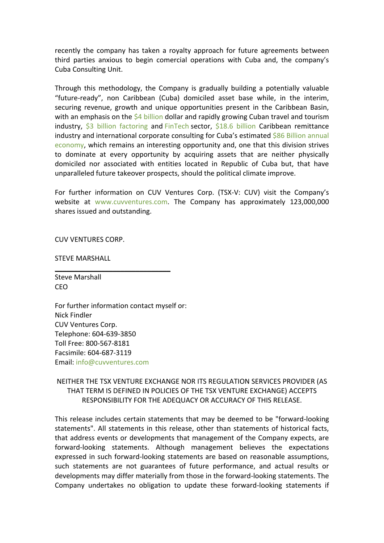recently the company has taken a royalty approach for future agreements between third parties anxious to begin comercial operations with Cuba and, the company's Cuba Consulting Unit.

Through this methodology, the Company is gradually building a potentially valuable "future-ready", non Caribbean (Cuba) domiciled asset base while, in the interim, securing revenue, growth and unique opportunities present in the Caribbean Basin, with an emphasis on the [\\$4 billion](https://wits.worldbank.org/CountryProfile/en/CUB) dollar and rapidly growing Cuban travel and tourism industry, [\\$3 billion factoring](https://wits.worldbank.org/CountryProfile/en/CUB) and [FinTech](http://www.revolufin.com/) sector, [\\$18.6 billion](http://www.worldbank.org/en/topic/migrationremittancesdiasporaissues/brief/migration-remittances-data) Caribbean remittance industry and international corporate consulting for Cuba's estimated \$86 Billion annual [economy,](https://es.wikipedia.org/wiki/Economía_de_Cuba) which remains an interesting opportunity and, one that this division strives to dominate at every opportunity by acquiring assets that are neither physically domiciled nor associated with entities located in Republic of Cuba but, that have unparalleled future takeover prospects, should the political climate improve.

For further information on CUV Ventures Corp. (TSX-V: CUV) visit the Company's website at [www.cuvventures.com.](http://www.cuvventures.com/) The Company has approximately 123,000,000 shares issued and outstanding.

CUV VENTURES CORP.

STEVE MARSHALL

Steve Marshall CEO

For further information contact myself or: Nick Findler CUV Ventures Corp. Telephone: 604-639-3850 Toll Free: 800-567-8181 Facsimile: 604-687-3119 Email[: info@cuvventures.com](mailto:info@cuvventures.com)

 $\overline{\phantom{a}}$  , where  $\overline{\phantom{a}}$  , where  $\overline{\phantom{a}}$  ,  $\overline{\phantom{a}}$  ,  $\overline{\phantom{a}}$  ,  $\overline{\phantom{a}}$  ,  $\overline{\phantom{a}}$  ,  $\overline{\phantom{a}}$  ,  $\overline{\phantom{a}}$  ,  $\overline{\phantom{a}}$  ,  $\overline{\phantom{a}}$  ,  $\overline{\phantom{a}}$  ,  $\overline{\phantom{a}}$  ,  $\overline{\phantom{a}}$  ,  $\overline{\phantom{a}}$  ,

## NEITHER THE TSX VENTURE EXCHANGE NOR ITS REGULATION SERVICES PROVIDER (AS THAT TERM IS DEFINED IN POLICIES OF THE TSX VENTURE EXCHANGE) ACCEPTS RESPONSIBILITY FOR THE ADEQUACY OR ACCURACY OF THIS RELEASE.

This release includes certain statements that may be deemed to be "forward-looking statements". All statements in this release, other than statements of historical facts, that address events or developments that management of the Company expects, are forward-looking statements. Although management believes the expectations expressed in such forward-looking statements are based on reasonable assumptions, such statements are not guarantees of future performance, and actual results or developments may differ materially from those in the forward-looking statements. The Company undertakes no obligation to update these forward-looking statements if